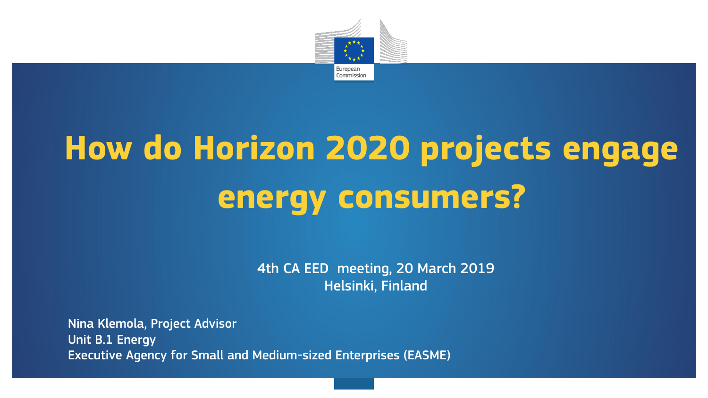

# **How do Horizon 2020 projects engage energy consumers?**

4th CA EED meeting, 20 March 2019 Helsinki, Finland

Nina Klemola, Project Advisor Unit B.1 Energy Executive Agency for Small and Medium-sized Enterprises (EASME)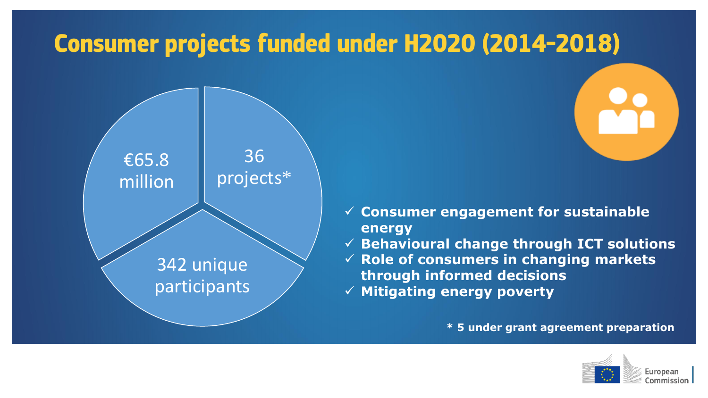#### **Consumer projects funded under H2020 (2014-2018)**



- **Consumer engagement for sustainable energy**
- **Behavioural change through ICT solutions**
- **Role of consumers in changing markets through informed decisions**
- **Mitigating energy poverty**

**\* 5 under grant agreement preparation**

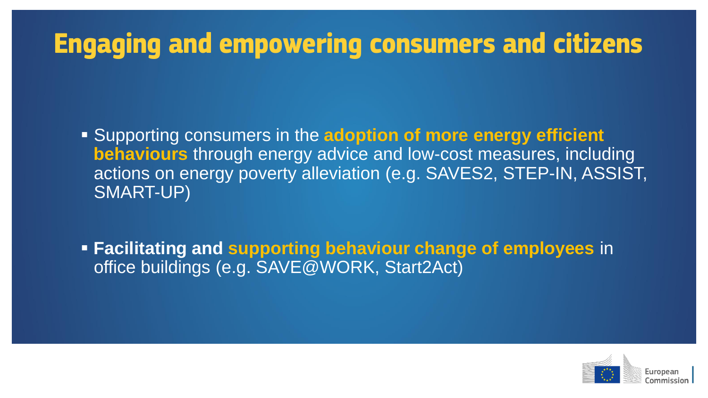#### **Engaging and empowering consumers and citizens**

 Supporting consumers in the **adoption of more energy efficient behaviours** through energy advice and low-cost measures, including actions on energy poverty alleviation (e.g. SAVES2, STEP-IN, ASSIST, SMART-UP)

 **Facilitating and supporting behaviour change of employees** in office buildings (e.g. SAVE@WORK, Start2Act)

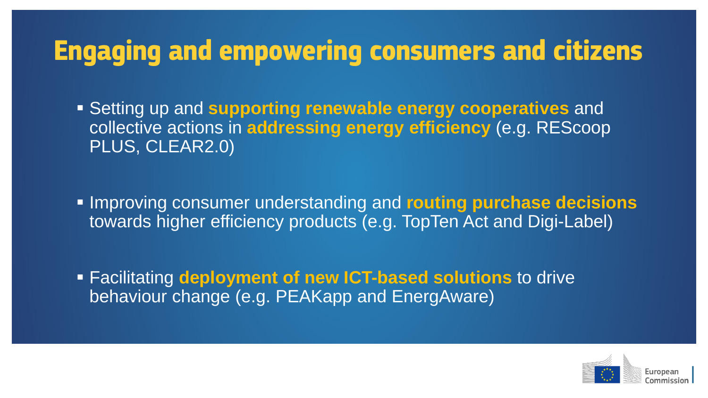#### **Engaging and empowering consumers and citizens**

 Setting up and **supporting renewable energy cooperatives** and collective actions in **addressing energy efficiency** (e.g. REScoop PLUS, CLEAR2.0)

 Improving consumer understanding and **routing purchase decisions**  towards higher efficiency products (e.g. TopTen Act and Digi-Label)

 Facilitating **deployment of new ICT-based solutions** to drive behaviour change (e.g. PEAKapp and EnergAware)

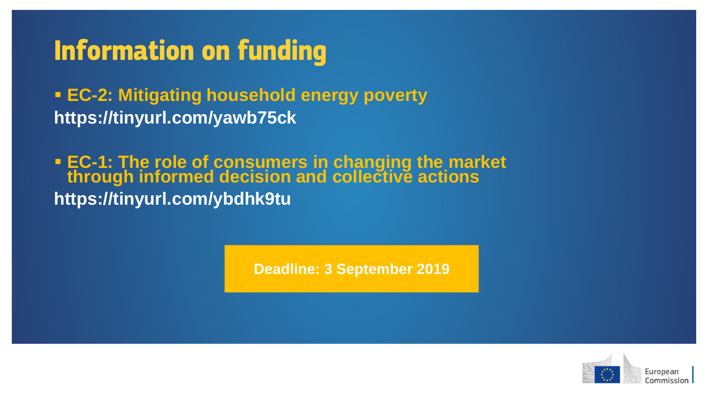#### **Information on funding**

 **EC-2: Mitigating household energy poverty https://tinyurl.com/yawb75ck**

 **EC-1: The role of consumers in changing the market through informed decision and collective actions https://tinyurl.com/ybdhk9tu**

**Deadline: 3 September 2019**